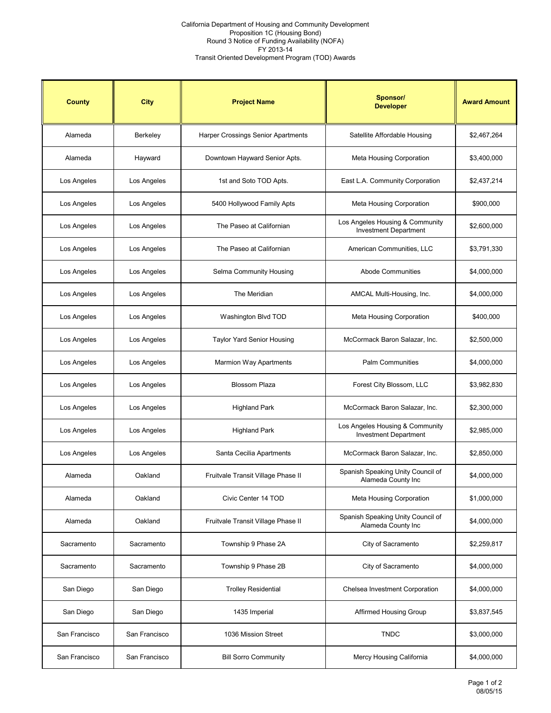## California Department of Housing and Community Development Proposition 1C (Housing Bond) Round 3 Notice of Funding Availability (NOFA) FY 2013-14 Transit Oriented Development Program (TOD) Awards

| <b>County</b> | <b>City</b>   | <b>Project Name</b>                       | <b>Sponsor/</b><br><b>Developer</b>                             | <b>Award Amount</b> |
|---------------|---------------|-------------------------------------------|-----------------------------------------------------------------|---------------------|
| Alameda       | Berkeley      | <b>Harper Crossings Senior Apartments</b> | Satellite Affordable Housing                                    | \$2,467,264         |
| Alameda       | Hayward       | Downtown Hayward Senior Apts.             | <b>Meta Housing Corporation</b>                                 | \$3,400,000         |
| Los Angeles   | Los Angeles   | 1st and Soto TOD Apts.                    | East L.A. Community Corporation                                 | \$2,437,214         |
| Los Angeles   | Los Angeles   | 5400 Hollywood Family Apts                | <b>Meta Housing Corporation</b>                                 | \$900,000           |
| Los Angeles   | Los Angeles   | The Paseo at Californian                  | Los Angeles Housing & Community<br><b>Investment Department</b> | \$2,600,000         |
| Los Angeles   | Los Angeles   | The Paseo at Californian                  | American Communities, LLC                                       | \$3,791,330         |
| Los Angeles   | Los Angeles   | Selma Community Housing                   | <b>Abode Communities</b>                                        | \$4,000,000         |
| Los Angeles   | Los Angeles   | The Meridian                              | AMCAL Multi-Housing, Inc.                                       | \$4,000,000         |
| Los Angeles   | Los Angeles   | Washington Blvd TOD                       | <b>Meta Housing Corporation</b>                                 | \$400,000           |
| Los Angeles   | Los Angeles   | <b>Taylor Yard Senior Housing</b>         | McCormack Baron Salazar, Inc.                                   | \$2,500,000         |
| Los Angeles   | Los Angeles   | <b>Marmion Way Apartments</b>             | <b>Palm Communities</b>                                         | \$4,000,000         |
| Los Angeles   | Los Angeles   | <b>Blossom Plaza</b>                      | Forest City Blossom, LLC                                        | \$3,982,830         |
| Los Angeles   | Los Angeles   | <b>Highland Park</b>                      | McCormack Baron Salazar, Inc.                                   | \$2,300,000         |
| Los Angeles   | Los Angeles   | <b>Highland Park</b>                      | Los Angeles Housing & Community<br><b>Investment Department</b> | \$2,985,000         |
| Los Angeles   | Los Angeles   | Santa Cecilia Apartments                  | McCormack Baron Salazar, Inc.                                   | \$2,850,000         |
| Alameda       | Oakland       | Fruitvale Transit Village Phase II        | Spanish Speaking Unity Council of<br>Alameda County Inc         | \$4,000,000         |
| Alameda       | Oakland       | Civic Center 14 TOD                       | <b>Meta Housing Corporation</b>                                 | \$1,000,000         |
| Alameda       | Oakland       | Fruitvale Transit Village Phase II        | Spanish Speaking Unity Council of<br>Alameda County Inc         | \$4,000,000         |
| Sacramento    | Sacramento    | Township 9 Phase 2A                       | City of Sacramento                                              | \$2,259,817         |
| Sacramento    | Sacramento    | Township 9 Phase 2B                       | City of Sacramento                                              | \$4,000,000         |
| San Diego     | San Diego     | <b>Trolley Residential</b>                | Chelsea Investment Corporation                                  | \$4,000,000         |
| San Diego     | San Diego     | 1435 Imperial                             | <b>Affirmed Housing Group</b>                                   | \$3,837,545         |
| San Francisco | San Francisco | 1036 Mission Street                       | <b>TNDC</b>                                                     | \$3,000,000         |
| San Francisco | San Francisco | <b>Bill Sorro Community</b>               | Mercy Housing California                                        | \$4,000,000         |